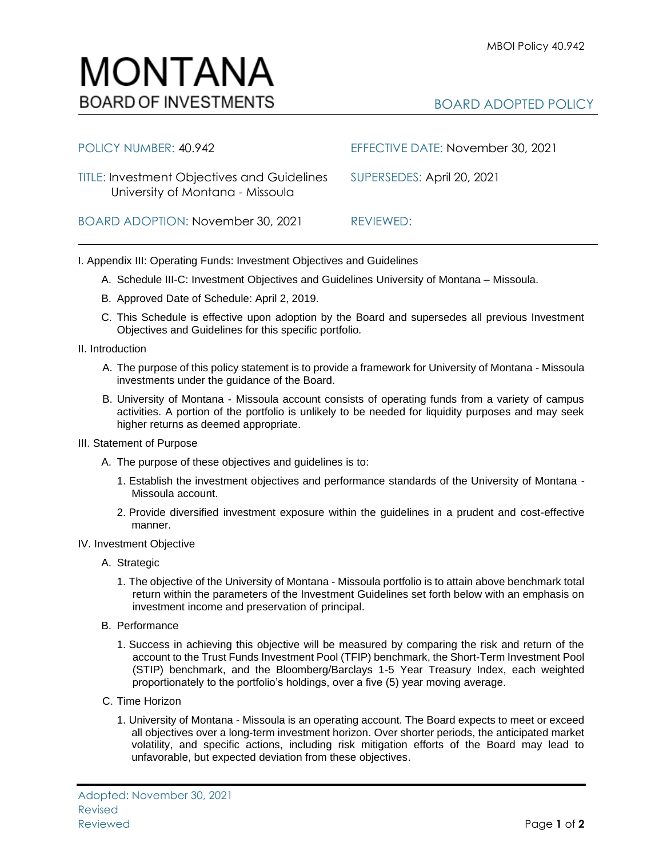

| POLICY NUMBER: 40.942                                                                  | EFFECTIVE DATE: November 30, 2021 |
|----------------------------------------------------------------------------------------|-----------------------------------|
| <b>TITLE: Investment Objectives and Guidelines</b><br>University of Montana - Missoula | SUPERSEDES: April 20, 2021        |
| BOARD ADOPTION: November 30, 2021                                                      | REVIEWED:                         |

I. Appendix III: Operating Funds: Investment Objectives and Guidelines

- A. Schedule III-C: Investment Objectives and Guidelines University of Montana Missoula.
- B. Approved Date of Schedule: April 2, 2019.
- C. This Schedule is effective upon adoption by the Board and supersedes all previous Investment Objectives and Guidelines for this specific portfolio*.*
- II. Introduction
	- A. The purpose of this policy statement is to provide a framework for University of Montana Missoula investments under the guidance of the Board.
	- B. University of Montana Missoula account consists of operating funds from a variety of campus activities. A portion of the portfolio is unlikely to be needed for liquidity purposes and may seek higher returns as deemed appropriate.
- III. Statement of Purpose
	- A. The purpose of these objectives and guidelines is to:
		- 1. Establish the investment objectives and performance standards of the University of Montana Missoula account.
		- 2. Provide diversified investment exposure within the guidelines in a prudent and cost-effective manner.
- IV. Investment Objective
	- A. Strategic
		- 1. The objective of the University of Montana Missoula portfolio is to attain above benchmark total return within the parameters of the Investment Guidelines set forth below with an emphasis on investment income and preservation of principal.
	- B. Performance
		- 1. Success in achieving this objective will be measured by comparing the risk and return of the account to the Trust Funds Investment Pool (TFIP) benchmark, the Short-Term Investment Pool (STIP) benchmark, and the Bloomberg/Barclays 1-5 Year Treasury Index, each weighted proportionately to the portfolio's holdings, over a five (5) year moving average.
	- C. Time Horizon
		- 1. University of Montana Missoula is an operating account. The Board expects to meet or exceed all objectives over a long-term investment horizon. Over shorter periods, the anticipated market volatility, and specific actions, including risk mitigation efforts of the Board may lead to unfavorable, but expected deviation from these objectives.